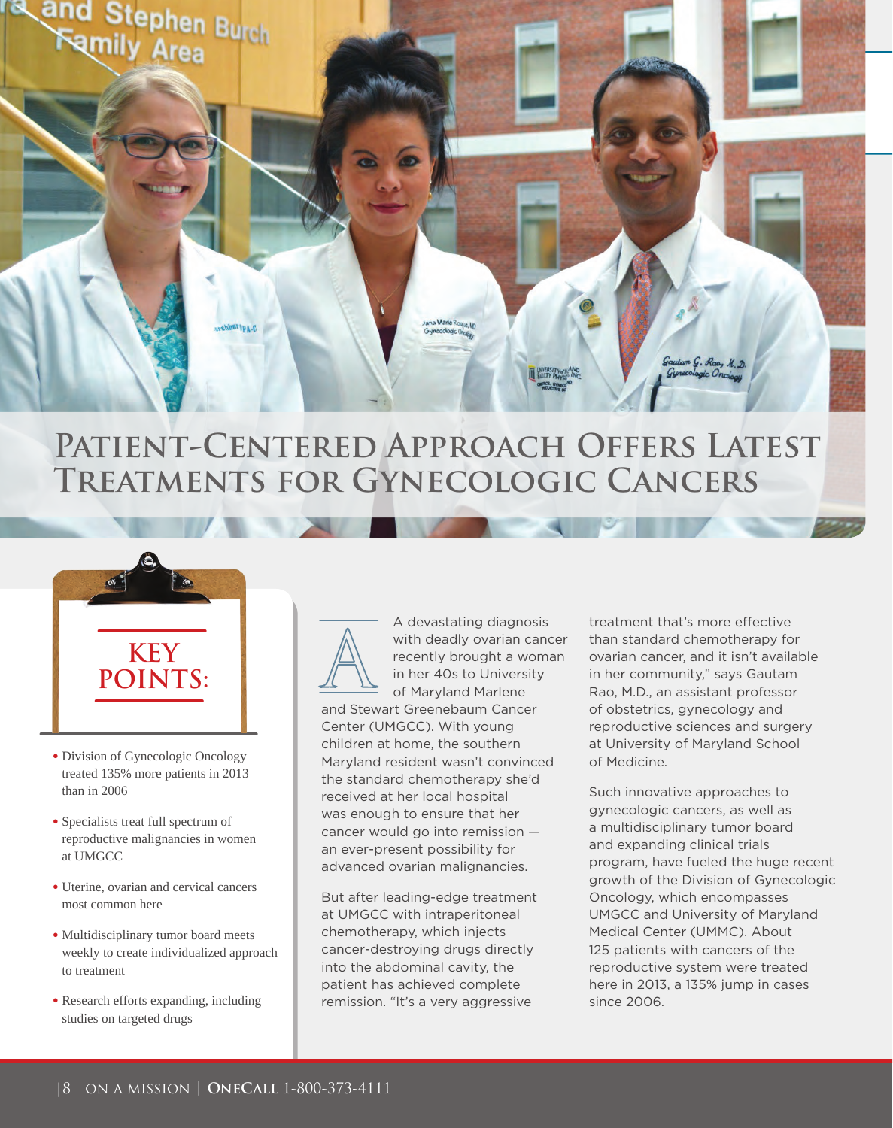

# PATIENT-CENTERED APPROACH OFFERS LATEST **Treatments for Gynecologic Cancers**



- Division of Gynecologic Oncology treated 135% more patients in 2013 than in 2006
- Specialists treat full spectrum of reproductive malignancies in women at UMGCC
- Uterine, ovarian and cervical cancers most common here
- Multidisciplinary tumor board meets weekly to create individualized approach to treatment
- Research efforts expanding, including studies on targeted drugs



A devastating diagnosis with deadly ovarian cancer recently brought a woman in her 40s to University of Maryland Marlene

and Stewart Greenebaum Cancer Center (UMGCC). With young children at home, the southern Maryland resident wasn't convinced the standard chemotherapy she'd received at her local hospital was enough to ensure that her cancer would go into remission an ever-present possibility for advanced ovarian malignancies.

But after leading-edge treatment at UMGCC with intraperitoneal chemotherapy, which injects cancer-destroying drugs directly into the abdominal cavity, the patient has achieved complete remission. "It's a very aggressive

treatment that's more effective than standard chemotherapy for ovarian cancer, and it isn't available in her community," says Gautam Rao, M.D., an assistant professor of obstetrics, gynecology and reproductive sciences and surgery at University of Maryland School of Medicine.

Such innovative approaches to gynecologic cancers, as well as a multidisciplinary tumor board and expanding clinical trials program, have fueled the huge recent growth of the Division of Gynecologic Oncology, which encompasses UMGCC and University of Maryland Medical Center (UMMC). About 125 patients with cancers of the reproductive system were treated here in 2013, a 135% jump in cases since 2006.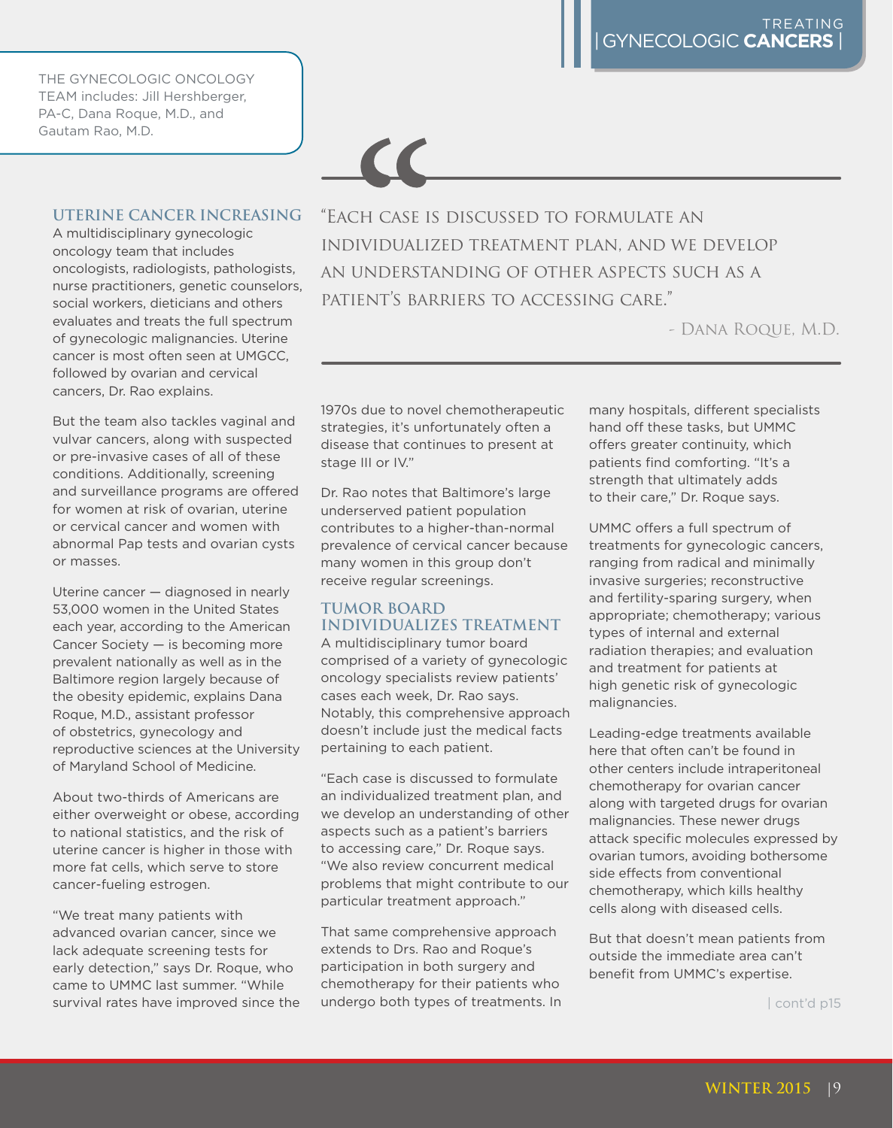THE GYNECOLOGIC ONCOLOGY TEAM includes: Jill Hershberger, PA-C, Dana Roque, M.D., and Gautam Rao, M.D.

### **UTERINE CANCER INCREASING**

A multidisciplinary gynecologic oncology team that includes oncologists, radiologists, pathologists, nurse practitioners, genetic counselors, social workers, dieticians and others evaluates and treats the full spectrum of gynecologic malignancies. Uterine cancer is most often seen at UMGCC, followed by ovarian and cervical cancers, Dr. Rao explains.

But the team also tackles vaginal and vulvar cancers, along with suspected or pre-invasive cases of all of these conditions. Additionally, screening and surveillance programs are offered for women at risk of ovarian, uterine or cervical cancer and women with abnormal Pap tests and ovarian cysts or masses.

Uterine cancer — diagnosed in nearly 53,000 women in the United States each year, according to the American Cancer Society — is becoming more prevalent nationally as well as in the Baltimore region largely because of the obesity epidemic, explains Dana Roque, M.D., assistant professor of obstetrics, gynecology and reproductive sciences at the University of Maryland School of Medicine.

About two-thirds of Americans are either overweight or obese, according to national statistics, and the risk of uterine cancer is higher in those with more fat cells, which serve to store cancer-fueling estrogen.

"We treat many patients with advanced ovarian cancer, since we lack adequate screening tests for early detection," says Dr. Roque, who came to UMMC last summer. "While survival rates have improved since the "Each case is discussed to formulate an individualized treatment plan, and we develop an understanding of other aspects such as a patient's barriers to accessing care."

- Dana Roque, M.D.

1970s due to novel chemotherapeutic strategies, it's unfortunately often a disease that continues to present at stage III or IV."

 $\epsilon$ 

Dr. Rao notes that Baltimore's large underserved patient population contributes to a higher-than-normal prevalence of cervical cancer because many women in this group don't receive regular screenings.

### **TUMOR BOARD INDIVIDUALIZES TREATMENT**

A multidisciplinary tumor board comprised of a variety of gynecologic oncology specialists review patients' cases each week, Dr. Rao says. Notably, this comprehensive approach doesn't include just the medical facts pertaining to each patient.

"Each case is discussed to formulate an individualized treatment plan, and we develop an understanding of other aspects such as a patient's barriers to accessing care," Dr. Roque says. "We also review concurrent medical problems that might contribute to our particular treatment approach."

That same comprehensive approach extends to Drs. Rao and Roque's participation in both surgery and chemotherapy for their patients who undergo both types of treatments. In many hospitals, different specialists hand off these tasks, but UMMC offers greater continuity, which patients find comforting. "It's a strength that ultimately adds to their care," Dr. Roque says.

UMMC offers a full spectrum of treatments for gynecologic cancers, ranging from radical and minimally invasive surgeries; reconstructive and fertility-sparing surgery, when appropriate; chemotherapy; various types of internal and external radiation therapies; and evaluation and treatment for patients at high genetic risk of gynecologic malignancies.

Leading-edge treatments available here that often can't be found in other centers include intraperitoneal chemotherapy for ovarian cancer along with targeted drugs for ovarian malignancies. These newer drugs attack specific molecules expressed by ovarian tumors, avoiding bothersome side effects from conventional chemotherapy, which kills healthy cells along with diseased cells.

But that doesn't mean patients from outside the immediate area can't benefit from UMMC's expertise.

| cont'd p15